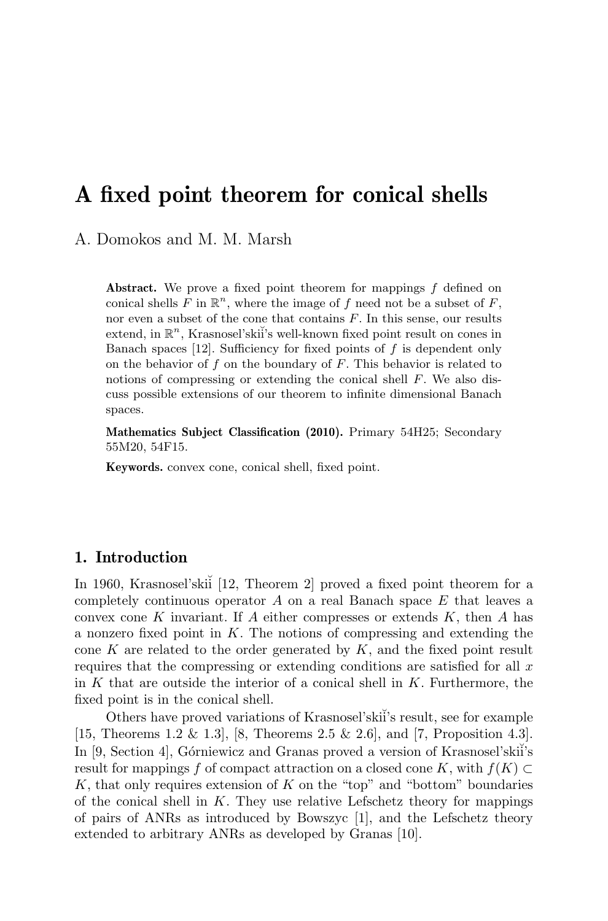# A fixed point theorem for conical shells

A. Domokos and M. M. Marsh

Abstract. We prove a fixed point theorem for mappings f defined on conical shells  $F$  in  $\mathbb{R}^n$ , where the image of  $f$  need not be a subset of  $F$ , nor even a subset of the cone that contains  $F$ . In this sense, our results extend, in  $\mathbb{R}^n$ , Krasnosel'skii's well-known fixed point result on cones in Banach spaces  $[12]$ . Sufficiency for fixed points of f is dependent only on the behavior of  $f$  on the boundary of  $F$ . This behavior is related to notions of compressing or extending the conical shell  $F$ . We also discuss possible extensions of our theorem to infinite dimensional Banach spaces.

Mathematics Subject Classification (2010). Primary 54H25; Secondary 55M20, 54F15.

Keywords. convex cone, conical shell, fixed point.

### 1. Introduction

In 1960, Krasnosel'skiı̈ [12, Theorem 2] proved a fixed point theorem for a completely continuous operator  $A$  on a real Banach space  $E$  that leaves a convex cone K invariant. If A either compresses or extends  $K$ , then A has a nonzero fixed point in  $K$ . The notions of compressing and extending the cone K are related to the order generated by  $K$ , and the fixed point result requires that the compressing or extending conditions are satisfied for all  $x$ in  $K$  that are outside the interior of a conical shell in  $K$ . Furthermore, the fixed point is in the conical shell.

Others have proved variations of Krasnosel'skii's result, see for example [15, Theorems 1.2 & 1.3], [8, Theorems 2.5 & 2.6], and [7, Proposition 4.3]. In [9, Section 4], Górniewicz and Granas proved a version of Krasnosel'skii's result for mappings f of compact attraction on a closed cone K, with  $f(K) \subset$  $K$ , that only requires extension of  $K$  on the "top" and "bottom" boundaries of the conical shell in  $K$ . They use relative Lefschetz theory for mappings of pairs of ANRs as introduced by Bowszyc [1], and the Lefschetz theory extended to arbitrary ANRs as developed by Granas [10].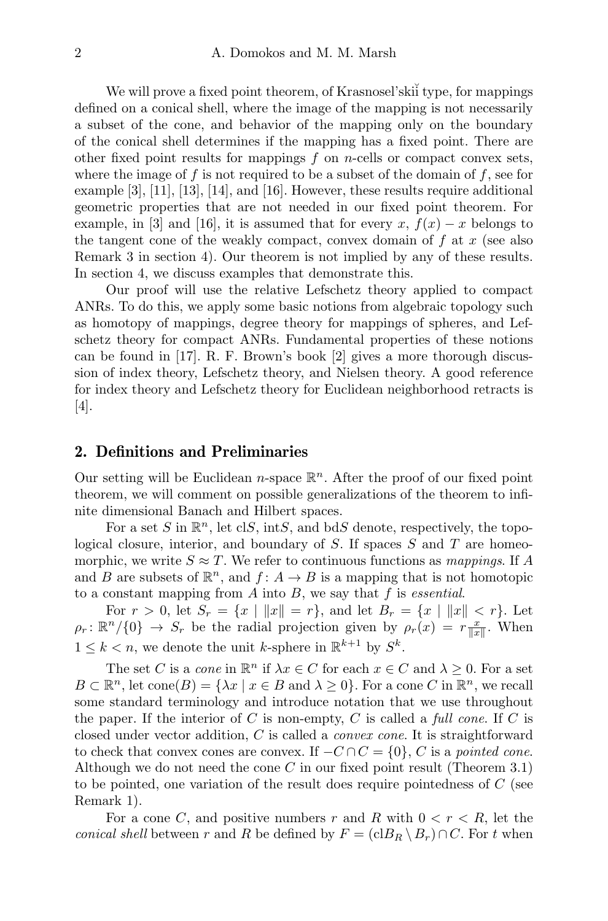We will prove a fixed point theorem, of Krasnosel'ski<sup>{</sup> type, for mappings defined on a conical shell, where the image of the mapping is not necessarily a subset of the cone, and behavior of the mapping only on the boundary of the conical shell determines if the mapping has a fixed point. There are other fixed point results for mappings  $f$  on *n*-cells or compact convex sets, where the image of f is not required to be a subset of the domain of  $f$ , see for example [3], [11], [13], [14], and [16]. However, these results require additional geometric properties that are not needed in our fixed point theorem. For example, in [3] and [16], it is assumed that for every x,  $f(x) - x$  belongs to the tangent cone of the weakly compact, convex domain of  $f$  at  $x$  (see also Remark 3 in section 4). Our theorem is not implied by any of these results. In section 4, we discuss examples that demonstrate this.

Our proof will use the relative Lefschetz theory applied to compact ANRs. To do this, we apply some basic notions from algebraic topology such as homotopy of mappings, degree theory for mappings of spheres, and Lefschetz theory for compact ANRs. Fundamental properties of these notions can be found in [17]. R. F. Brown's book [2] gives a more thorough discussion of index theory, Lefschetz theory, and Nielsen theory. A good reference for index theory and Lefschetz theory for Euclidean neighborhood retracts is [4].

### 2. Definitions and Preliminaries

Our setting will be Euclidean  $n$ -space  $\mathbb{R}^n$ . After the proof of our fixed point theorem, we will comment on possible generalizations of the theorem to infinite dimensional Banach and Hilbert spaces.

For a set S in  $\mathbb{R}^n$ , let clS, intS, and bdS denote, respectively, the topological closure, interior, and boundary of  $S$ . If spaces  $S$  and  $T$  are homeomorphic, we write  $S \approx T$ . We refer to continuous functions as mappings. If A and B are subsets of  $\mathbb{R}^n$ , and  $f: A \to B$  is a mapping that is not homotopic to a constant mapping from  $A$  into  $B$ , we say that  $f$  is *essential*.

For  $r > 0$ , let  $S_r = \{x \mid ||x|| = r\}$ , and let  $B_r = \{x \mid ||x|| < r\}$ . Let  $\rho_r: \mathbb{R}^n/\{0\} \to S_r$  be the radial projection given by  $\rho_r(x) = r \frac{x}{\|x\|}$ . When  $1 \leq k < n$ , we denote the unit k-sphere in  $\mathbb{R}^{k+1}$  by  $S^k$ .

The set C is a *cone* in  $\mathbb{R}^n$  if  $\lambda x \in C$  for each  $x \in C$  and  $\lambda \geq 0$ . For a set  $B \subset \mathbb{R}^n$ , let  $cone(B) = \{\lambda x \mid x \in B \text{ and } \lambda \geq 0\}$ . For a cone C in  $\mathbb{R}^n$ , we recall some standard terminology and introduce notation that we use throughout the paper. If the interior of C is non-empty, C is called a full cone. If C is closed under vector addition, C is called a convex cone. It is straightforward to check that convex cones are convex. If  $-C \cap C = \{0\}$ , C is a pointed cone. Although we do not need the cone  $C$  in our fixed point result (Theorem 3.1) to be pointed, one variation of the result does require pointedness of C (see Remark 1).

For a cone C, and positive numbers r and R with  $0 < r < R$ , let the conical shell between r and R be defined by  $F = (c \cdot B_R \setminus B_r) \cap C$ . For t when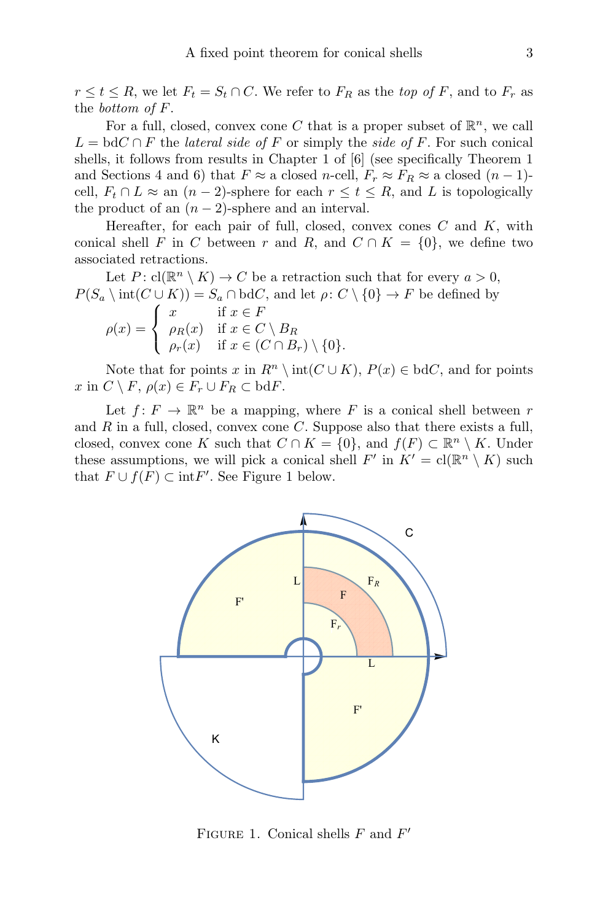$r \leq t \leq R$ , we let  $F_t = S_t \cap C$ . We refer to  $F_R$  as the top of F, and to  $F_r$  as the bottom of F.

For a full, closed, convex cone C that is a proper subset of  $\mathbb{R}^n$ , we call  $L = bdC \cap F$  the *lateral side of* F or simply the *side of* F. For such conical shells, it follows from results in Chapter 1 of [6] (see specifically Theorem 1 and Sections 4 and 6) that  $F \approx a$  closed n-cell,  $F_r \approx F_R \approx a$  closed  $(n-1)$ cell,  $F_t \cap L \approx$  an  $(n-2)$ -sphere for each  $r \le t \le R$ , and L is topologically the product of an  $(n-2)$ -sphere and an interval.

Hereafter, for each pair of full, closed, convex cones  $C$  and  $K$ , with conical shell F in C between r and R, and  $C \cap K = \{0\}$ , we define two associated retractions.

Let  $P: cl(\mathbb{R}^n \setminus K) \to C$  be a retraction such that for every  $a > 0$ ,  $P(S_a \setminus \text{int}(C \cup K)) = S_a \cap \text{bd }C$ , and let  $\rho: C \setminus \{0\} \to F$  be defined by

$$
\rho(x) = \begin{cases} x & \text{if } x \in F \\ \rho_R(x) & \text{if } x \in C \setminus B_R \\ \rho_r(x) & \text{if } x \in (C \cap B_r) \setminus \{0\}. \end{cases}
$$

Note that for points x in  $R^n \setminus \text{int}(C \cup K)$ ,  $P(x) \in \text{bd }C$ , and for points x in  $C \setminus F$ ,  $\rho(x) \in F_r \cup F_R \subset \text{bd } F$ .

Let  $f: F \to \mathbb{R}^n$  be a mapping, where F is a conical shell between r and  $R$  in a full, closed, convex cone  $C$ . Suppose also that there exists a full, closed, convex cone K such that  $C \cap K = \{0\}$ , and  $f(F) \subset \mathbb{R}^n \setminus K$ . Under these assumptions, we will pick a conical shell  $F'$  in  $K' = \text{cl}(\mathbb{R}^n \setminus K)$  such that  $F \cup f(F) \subset \text{int}F'$ . See Figure 1 below.



FIGURE 1. Conical shells  $F$  and  $F'$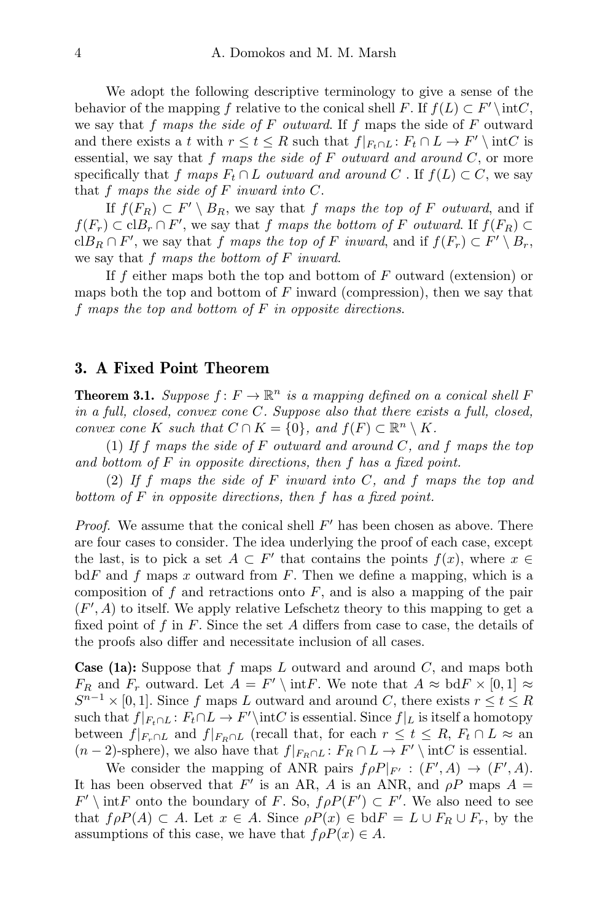We adopt the following descriptive terminology to give a sense of the behavior of the mapping f relative to the conical shell F. If  $f(L) \subset F' \setminus \text{int}C$ , we say that f maps the side of  $F$  outward. If f maps the side of  $F$  outward and there exists a t with  $r \le t \le R$  such that  $f|_{F_t \cap L} : F_t \cap L \to F' \setminus \text{int } C$  is essential, we say that f maps the side of  $F$  outward and around  $C$ , or more specifically that f maps  $F_t \cap L$  outward and around C. If  $f(L) \subset C$ , we say that  $f$  maps the side of  $F$  inward into  $C$ .

If  $f(F_R) \subset F' \setminus B_R$ , we say that f maps the top of F outward, and if  $f(F_r) \subset \text{cl}B_r \cap F'$ , we say that f maps the bottom of F outward. If  $f(F_R) \subset$ cl $B_R \cap F'$ , we say that f maps the top of F inward, and if  $f(F_r) \subset F' \setminus B_r$ , we say that f maps the bottom of F inward.

If f either maps both the top and bottom of  $F$  outward (extension) or maps both the top and bottom of  $F$  inward (compression), then we say that f maps the top and bottom of  $F$  in opposite directions.

### 3. A Fixed Point Theorem

**Theorem 3.1.** Suppose  $f: F \to \mathbb{R}^n$  is a mapping defined on a conical shell F in a full, closed, convex cone C. Suppose also that there exists a full, closed, convex cone K such that  $C \cap K = \{0\}$ , and  $f(F) \subset \mathbb{R}^n \setminus K$ .

(1) If f maps the side of F outward and around C, and f maps the top and bottom of  $F$  in opposite directions, then  $f$  has a fixed point.

(2) If f maps the side of  $F$  inward into  $C$ , and  $f$  maps the top and bottom of F in opposite directions, then f has a fixed point.

*Proof.* We assume that the conical shell  $F'$  has been chosen as above. There are four cases to consider. The idea underlying the proof of each case, except the last, is to pick a set  $A \subset F'$  that contains the points  $f(x)$ , where  $x \in$  $\text{bd } F$  and f maps x outward from F. Then we define a mapping, which is a composition of  $f$  and retractions onto  $F$ , and is also a mapping of the pair  $(F', A)$  to itself. We apply relative Lefschetz theory to this mapping to get a fixed point of f in F. Since the set A differs from case to case, the details of the proofs also differ and necessitate inclusion of all cases.

**Case (1a):** Suppose that f maps L outward and around  $C$ , and maps both  $F_R$  and  $F_r$  outward. Let  $A = F' \setminus \text{int}F$ . We note that  $A \approx \text{bd}F \times [0,1] \approx$  $S^{n-1} \times [0,1]$ . Since f maps L outward and around C, there exists  $r \le t \le R$ such that  $f|_{F_t \cap L}$ :  $F_t \cap L \to F' \int C$  is essential. Since  $f|_L$  is itself a homotopy between  $f|_{F_r \cap L}$  and  $f|_{F_R \cap L}$  (recall that, for each  $r \le t \le R$ ,  $F_t \cap L \approx$  and  $(n-2)$ -sphere), we also have that  $f|_{F_R \cap L} : F_R \cap L \to F' \setminus \text{int}C$  is essential.

We consider the mapping of ANR pairs  $f \rho P|_{F'} : (F', A) \to (F', A)$ . It has been observed that F' is an AR, A is an ANR, and  $\rho P$  maps  $A =$  $F' \setminus \text{int}F$  onto the boundary of F. So,  $f \rho P(F') \subset F'$ . We also need to see that  $f \rho P(A) \subset A$ . Let  $x \in A$ . Since  $\rho P(x) \in b \, dF = L \cup F_R \cup F_r$ , by the assumptions of this case, we have that  $f \rho P(x) \in A$ .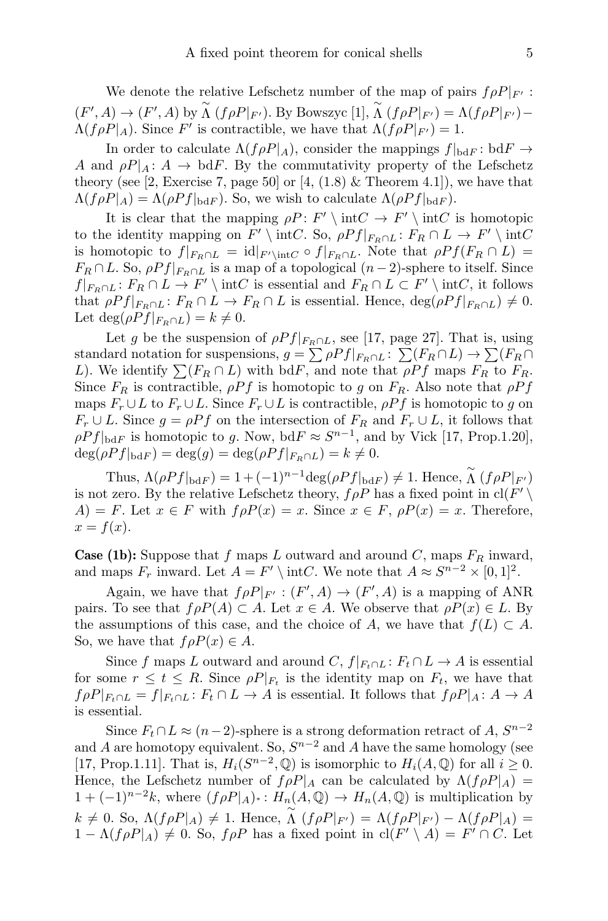We denote the relative Lefschetz number of the map of pairs  $f \rho P|_{F'}$ :  $(F', A) \to (F', A)$  by  $\stackrel{\sim}{\Lambda} (f \rho P|_{F'})$ . By Bowszyc [1],  $\stackrel{\sim}{\Lambda} (f \rho P|_{F'}) = \Lambda (f \rho P|_{F'})$  –  $\Lambda(f\rho P|_A)$ . Since F' is contractible, we have that  $\Lambda(f\rho P|_{F'})=1$ .

In order to calculate  $\Lambda(f \rho P_A)$ , consider the mappings  $f|_{\text{bd} F}$ : bd $F \to$ A and  $\rho P|_A: A \to \text{bd } F$ . By the commutativity property of the Lefschetz theory (see [2, Exercise 7, page 50] or [4,  $(1.8)$  & Theorem 4.1]), we have that  $\Lambda(f \rho P_A) = \Lambda(\rho P f|_{\text{bd} F})$ . So, we wish to calculate  $\Lambda(\rho P f|_{\text{bd} F})$ .

It is clear that the mapping  $\rho P : F' \setminus \text{int}C \to F' \setminus \text{int}C$  is homotopic to the identity mapping on  $F' \setminus \text{int}C$ . So,  $\rho Pf|_{F_R \cap L} : F_R \cap L \to F' \setminus \text{int}C$ is homotopic to  $f|_{F_R \cap L} = id|_{F' \setminus \text{int}C} \circ f|_{F_R \cap L}$ . Note that  $\rho Pf(F_R \cap L) =$  $F_R \cap L$ . So,  $\rho P f|_{F_R \cap L}$  is a map of a topological  $(n-2)$ -sphere to itself. Since  $f|_{F_R \cap L}$ :  $F_R \cap L \to F' \setminus \text{int } C$  is essential and  $F_R \cap L \subset F' \setminus \text{int } C$ , it follows that  $\rho Pf|_{F_R \cap L}$ :  $F_R \cap L \to F_R \cap L$  is essential. Hence,  $\deg(\rho Pf|_{F_R \cap L}) \neq 0$ . Let deg( $\rho Pf|_{F_R \cap L}$ ) =  $k \neq 0$ .

Let g be the suspension of  $\rho Pf|_{F_R \cap L}$ , see [17, page 27]. That is, using standard notation for suspensions,  $g = \sum \rho P f|_{F_R \cap L}$ :  $\sum (F_R \cap L) \rightarrow \sum (F_R \cap L)$ L). We identify  $\sum (F_R \cap L)$  with bdF, and note that  $\rho P f$  maps  $F_R$  to  $F_R$ . Since  $F_R$  is contractible,  $\rho P f$  is homotopic to g on  $F_R$ . Also note that  $\rho P f$ maps  $F_r \cup L$  to  $F_r \cup L$ . Since  $F_r \cup L$  is contractible,  $\rho Pf$  is homotopic to g on  $F_r \cup L$ . Since  $g = \rho P f$  on the intersection of  $F_R$  and  $F_r \cup L$ , it follows that  $\rho P f|_{\text{bd} F}$  is homotopic to g. Now,  $\text{bd} F \approx S^{n-1}$ , and by Vick [17, Prop.1.20],  $\deg(\rho Pf|_{\text{bd} F}) = \deg(g) = \deg(\rho Pf|_{F_R \cap L}) = k \neq 0.$ 

Thus,  $\Lambda(\rho Pf|_{\text{bd} F}) = 1 + (-1)^{n-1} \text{deg}(\rho Pf|_{\text{bd} F}) \neq 1$ . Hence,  $\widetilde{\Lambda}(f \rho P|_{F'})$ is not zero. By the relative Lefschetz theory,  $f \rho P$  has a fixed point in  $\text{cl}(F')$  $A) = F$ . Let  $x \in F$  with  $f \rho P(x) = x$ . Since  $x \in F$ ,  $\rho P(x) = x$ . Therefore,  $x = f(x)$ .

**Case (1b):** Suppose that f maps L outward and around C, maps  $F_R$  inward, and maps  $F_r$  inward. Let  $A = F' \setminus \text{int}C$ . We note that  $A \approx S^{n-2} \times [0,1]^2$ .

Again, we have that  $f \rho P|_{F'} : (F', A) \to (F', A)$  is a mapping of ANR pairs. To see that  $f \rho P(A) \subset A$ . Let  $x \in A$ . We observe that  $\rho P(x) \in L$ . By the assumptions of this case, and the choice of A, we have that  $f(L) \subset A$ . So, we have that  $f \rho P(x) \in A$ .

Since f maps L outward and around C,  $f|_{F_t \cap L}: F_t \cap L \to A$  is essential for some  $r \leq t \leq R$ . Since  $\rho P|_{F_t}$  is the identity map on  $F_t$ , we have that  $f \rho P|_{F_t \cap L} = f|_{F_t \cap L} : F_t \cap L \to A$  is essential. It follows that  $f \rho P|_{A} : A \to A$ is essential.

Since  $F_t \cap L \approx (n-2)$ -sphere is a strong deformation retract of A,  $S^{n-2}$ and A are homotopy equivalent. So,  $S^{n-2}$  and A have the same homology (see [17, Prop.1.11]. That is,  $H_i(S^{n-2}, \mathbb{Q})$  is isomorphic to  $H_i(A, \mathbb{Q})$  for all  $i \geq 0$ . Hence, the Lefschetz number of  $f \rho P_A$  can be calculated by  $\Lambda(f \rho P_A) =$  $1 + (-1)^{n-2}k$ , where  $(f \rho P|_A)$  :  $H_n(A, \mathbb{Q}) \to H_n(A, \mathbb{Q})$  is multiplication by  $k \neq 0$ . So,  $\Lambda(f \rho P|A) \neq 1$ . Hence,  $\widetilde{\Lambda}(f \rho P|_{F'}) = \Lambda(f \rho P|_{F'}) - \Lambda(f \rho P|A) =$  $1 - \Lambda(f \rho P_A) \neq 0$ . So,  $f \rho P$  has a fixed point in  $\text{cl}(F' \setminus A) = F' \cap C$ . Let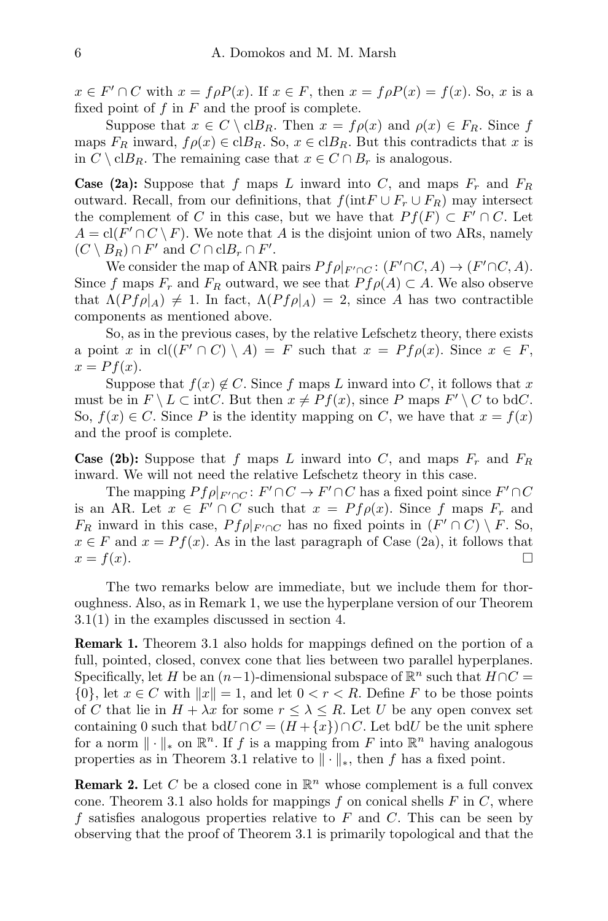$x \in F' \cap C$  with  $x = f \rho P(x)$ . If  $x \in F$ , then  $x = f \rho P(x) = f(x)$ . So, x is a fixed point of  $f$  in  $F$  and the proof is complete.

Suppose that  $x \in C \setminus \text{cl}B_R$ . Then  $x = f\rho(x)$  and  $\rho(x) \in F_R$ . Since f maps  $F_R$  inward,  $f \rho(x) \in \text{cl}B_R$ . So,  $x \in \text{cl}B_R$ . But this contradicts that x is in  $C \setminus \text{cl}B_R$ . The remaining case that  $x \in C \cap B_r$  is analogous.

**Case (2a):** Suppose that f maps L inward into C, and maps  $F_r$  and  $F_R$ outward. Recall, from our definitions, that  $f(intF \cup F_r \cup F_R)$  may intersect the complement of C in this case, but we have that  $Pf(F) \subset F' \cap C$ . Let  $A = \text{cl}(F' \cap C \setminus F)$ . We note that A is the disjoint union of two ARs, namely  $(C \setminus B_R) \cap F'$  and  $C \cap \text{cl}B_r \cap F'$ .

We consider the map of ANR pairs  $Pf\rho|_{F'\cap C}$ :  $(F'\cap C, A) \to (F'\cap C, A)$ . Since f maps  $F_r$  and  $F_R$  outward, we see that  $P f \rho(A) \subset A$ . We also observe that  $\Lambda(Pf\rho|_A) \neq 1$ . In fact,  $\Lambda(Pf\rho|_A) = 2$ , since A has two contractible components as mentioned above.

So, as in the previous cases, by the relative Lefschetz theory, there exists a point x in  $\text{cl}((F' \cap C) \setminus A) = F$  such that  $x = Pf \rho(x)$ . Since  $x \in F$ ,  $x = Pf(x)$ .

Suppose that  $f(x) \notin C$ . Since f maps L inward into C, it follows that x must be in  $F \setminus L \subset \text{int}C$ . But then  $x \neq Pf(x)$ , since P maps  $F' \setminus C$  to bdC. So,  $f(x) \in C$ . Since P is the identity mapping on C, we have that  $x = f(x)$ and the proof is complete.

**Case (2b):** Suppose that f maps L inward into C, and maps  $F_r$  and  $F_R$ inward. We will not need the relative Lefschetz theory in this case.

The mapping  $Pf \rho|_{F' \cap C} : F' \cap C \to F' \cap C$  has a fixed point since  $F' \cap C$ is an AR. Let  $x \in F' \cap C$  such that  $x = Pf \rho(x)$ . Since f maps  $F_r$  and  $F_R$  inward in this case,  $Pf\rho|_{F' \cap C}$  has no fixed points in  $(F' \cap C) \setminus F$ . So,  $x \in F$  and  $x = Pf(x)$ . As in the last paragraph of Case (2a), it follows that  $x = f(x).$ 

The two remarks below are immediate, but we include them for thoroughness. Also, as in Remark 1, we use the hyperplane version of our Theorem 3.1(1) in the examples discussed in section 4.

Remark 1. Theorem 3.1 also holds for mappings defined on the portion of a full, pointed, closed, convex cone that lies between two parallel hyperplanes. Specifically, let H be an  $(n-1)$ -dimensional subspace of  $\mathbb{R}^n$  such that  $H \cap C =$  $\{0\}$ , let  $x \in C$  with  $||x|| = 1$ , and let  $0 < r < R$ . Define F to be those points of C that lie in  $H + \lambda x$  for some  $r \leq \lambda \leq R$ . Let U be any open convex set containing 0 such that bd $U \cap C = (H + \{x\}) \cap C$ . Let bd $U$  be the unit sphere for a norm  $\|\cdot\|_*$  on  $\mathbb{R}^n$ . If f is a mapping from F into  $\mathbb{R}^n$  having analogous properties as in Theorem 3.1 relative to  $\|\cdot\|_*$ , then f has a fixed point.

**Remark 2.** Let C be a closed cone in  $\mathbb{R}^n$  whose complement is a full convex cone. Theorem 3.1 also holds for mappings  $f$  on conical shells  $F$  in  $C$ , where f satisfies analogous properties relative to  $F$  and  $C$ . This can be seen by observing that the proof of Theorem 3.1 is primarily topological and that the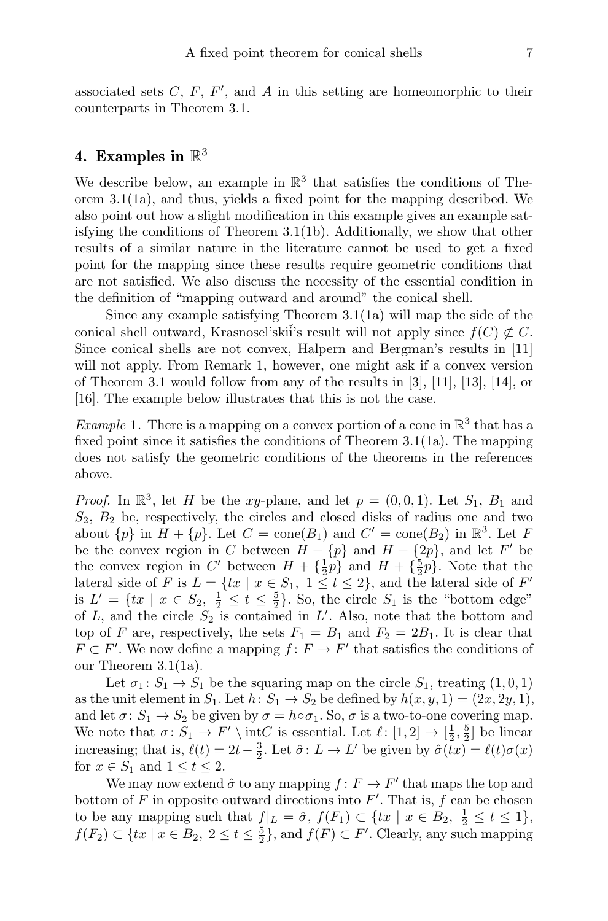associated sets  $C, F, F',$  and  $A$  in this setting are homeomorphic to their counterparts in Theorem 3.1.

## 4. Examples in  $\mathbb{R}^3$

We describe below, an example in  $\mathbb{R}^3$  that satisfies the conditions of Theorem 3.1(1a), and thus, yields a fixed point for the mapping described. We also point out how a slight modification in this example gives an example satisfying the conditions of Theorem 3.1(1b). Additionally, we show that other results of a similar nature in the literature cannot be used to get a fixed point for the mapping since these results require geometric conditions that are not satisfied. We also discuss the necessity of the essential condition in the definition of "mapping outward and around" the conical shell.

Since any example satisfying Theorem 3.1(1a) will map the side of the conical shell outward, Krasnosel'skii's result will not apply since  $f(C) \not\subset C$ . Since conical shells are not convex, Halpern and Bergman's results in [11] will not apply. From Remark 1, however, one might ask if a convex version of Theorem 3.1 would follow from any of the results in [3], [11], [13], [14], or [16]. The example below illustrates that this is not the case.

*Example* 1. There is a mapping on a convex portion of a cone in  $\mathbb{R}^3$  that has a fixed point since it satisfies the conditions of Theorem 3.1(1a). The mapping does not satisfy the geometric conditions of the theorems in the references above.

*Proof.* In  $\mathbb{R}^3$ , let H be the xy-plane, and let  $p = (0, 0, 1)$ . Let  $S_1$ ,  $B_1$  and  $S_2, B_2$  be, respectively, the circles and closed disks of radius one and two about  $\{p\}$  in  $H + \{p\}$ . Let  $C = \text{cone}(B_1)$  and  $C' = \text{cone}(B_2)$  in  $\mathbb{R}^3$ . Let F be the convex region in C between  $H + \{p\}$  and  $H + \{2p\}$ , and let F' be the convex region in C' between  $H + {\frac{1}{2}}p$  and  $H + {\frac{5}{2}}p$ . Note that the lateral side of F is  $L = \{tx \mid x \in S_1, 1 \le t \le 2\}$ , and the lateral side of F' is  $L' = \{tx \mid x \in S_2, \frac{1}{2} \le t \le \frac{5}{2}\}$ . So, the circle  $S_1$  is the "bottom edge" of L, and the circle  $S_2$  is contained in L'. Also, note that the bottom and top of F are, respectively, the sets  $F_1 = B_1$  and  $F_2 = 2B_1$ . It is clear that  $F \subset F'$ . We now define a mapping  $f: F \to F'$  that satisfies the conditions of our Theorem 3.1(1a).

Let  $\sigma_1: S_1 \to S_1$  be the squaring map on the circle  $S_1$ , treating  $(1,0,1)$ as the unit element in  $S_1$ . Let  $h: S_1 \to S_2$  be defined by  $h(x, y, 1) = (2x, 2y, 1),$ and let  $\sigma: S_1 \to S_2$  be given by  $\sigma = h \circ \sigma_1$ . So,  $\sigma$  is a two-to-one covering map. We note that  $\sigma: S_1 \to F' \setminus \text{int}\_C$  is essential. Let  $\ell: [1, 2] \to [\frac{1}{2}, \frac{5}{2}]$  be linear increasing; that is,  $\ell(t) = 2t - \frac{3}{2}$ . Let  $\hat{\sigma} : L \to L'$  be given by  $\hat{\sigma}(tx) = \ell(t)\sigma(x)$ for  $x \in S_1$  and  $1 \le t \le 2$ .

We may now extend  $\hat{\sigma}$  to any mapping  $f: F \to F'$  that maps the top and bottom of  $F$  in opposite outward directions into  $F'$ . That is,  $f$  can be chosen to be any mapping such that  $f|_L = \hat{\sigma}$ ,  $f(F_1) \subset \{tx \mid x \in B_2, \frac{1}{2} \le t \le 1\}$ ,  $f(F_2) \subset \{tx \mid x \in B_2, 2 \le t \le \frac{5}{2}\},\$  and  $f(F) \subset F'$ . Clearly, any such mapping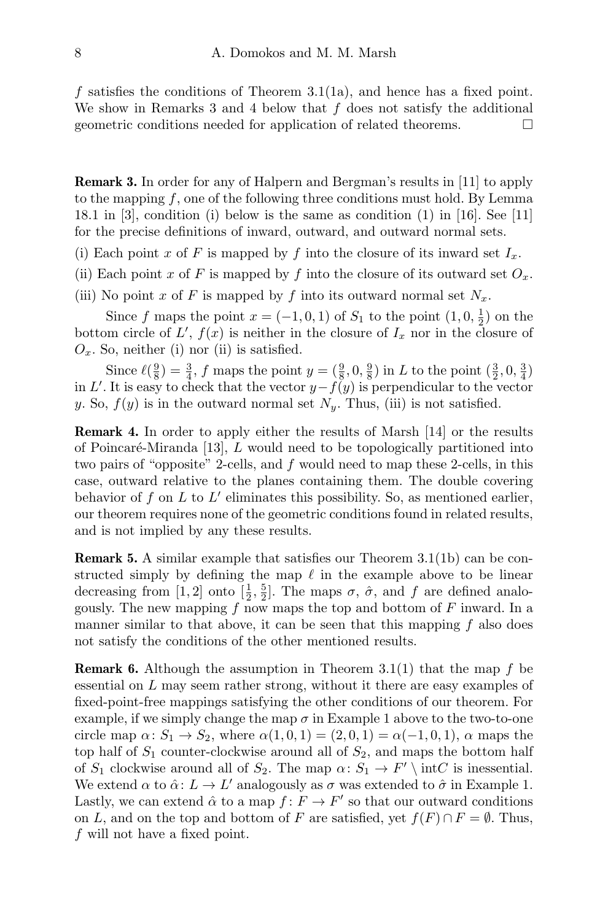f satisfies the conditions of Theorem 3.1(1a), and hence has a fixed point. We show in Remarks 3 and 4 below that  $f$  does not satisfy the additional geometric conditions needed for application of related theorems.

Remark 3. In order for any of Halpern and Bergman's results in [11] to apply to the mapping f, one of the following three conditions must hold. By Lemma 18.1 in [3], condition (i) below is the same as condition (1) in [16]. See [11] for the precise definitions of inward, outward, and outward normal sets.

(i) Each point x of F is mapped by f into the closure of its inward set  $I_x$ .

- (ii) Each point x of F is mapped by f into the closure of its outward set  $O_x$ .
- (iii) No point x of F is mapped by f into its outward normal set  $N_x$ .

Since f maps the point  $x = (-1, 0, 1)$  of  $S_1$  to the point  $(1, 0, \frac{1}{2})$  on the bottom circle of  $L'$ ,  $f(x)$  is neither in the closure of  $I_x$  nor in the closure of  $O_x$ . So, neither (i) nor (ii) is satisfied.

Since  $\ell(\frac{9}{8}) = \frac{3}{4}$ , f maps the point  $y = (\frac{9}{8}, 0, \frac{9}{8})$  in L to the point  $(\frac{3}{2}, 0, \frac{3}{4})$ in L'. It is easy to check that the vector  $y-f(y)$  is perpendicular to the vector y. So,  $f(y)$  is in the outward normal set  $N_y$ . Thus, (iii) is not satisfied.

Remark 4. In order to apply either the results of Marsh [14] or the results of Poincaré-Miranda [13],  $L$  would need to be topologically partitioned into two pairs of "opposite" 2-cells, and f would need to map these 2-cells, in this case, outward relative to the planes containing them. The double covering behavior of f on  $L$  to  $L'$  eliminates this possibility. So, as mentioned earlier, our theorem requires none of the geometric conditions found in related results, and is not implied by any these results.

Remark 5. A similar example that satisfies our Theorem 3.1(1b) can be constructed simply by defining the map  $\ell$  in the example above to be linear decreasing from [1, 2] onto  $[\frac{1}{2}, \frac{5}{2}]$ . The maps  $\sigma$ ,  $\hat{\sigma}$ , and  $f$  are defined analogously. The new mapping f now maps the top and bottom of  $F$  inward. In a manner similar to that above, it can be seen that this mapping  $f$  also does not satisfy the conditions of the other mentioned results.

**Remark 6.** Although the assumption in Theorem 3.1(1) that the map f be essential on L may seem rather strong, without it there are easy examples of fixed-point-free mappings satisfying the other conditions of our theorem. For example, if we simply change the map  $\sigma$  in Example 1 above to the two-to-one circle map  $\alpha: S_1 \to S_2$ , where  $\alpha(1,0,1) = (2,0,1) = \alpha(-1,0,1)$ ,  $\alpha$  maps the top half of  $S_1$  counter-clockwise around all of  $S_2$ , and maps the bottom half of  $S_1$  clockwise around all of  $S_2$ . The map  $\alpha \colon S_1 \to F' \setminus \text{int}C$  is inessential. We extend  $\alpha$  to  $\hat{\alpha}$ :  $L \to L'$  analogously as  $\sigma$  was extended to  $\hat{\sigma}$  in Example 1. Lastly, we can extend  $\hat{\alpha}$  to a map  $f: F \to F'$  so that our outward conditions on L, and on the top and bottom of F are satisfied, yet  $f(F) \cap F = \emptyset$ . Thus, f will not have a fixed point.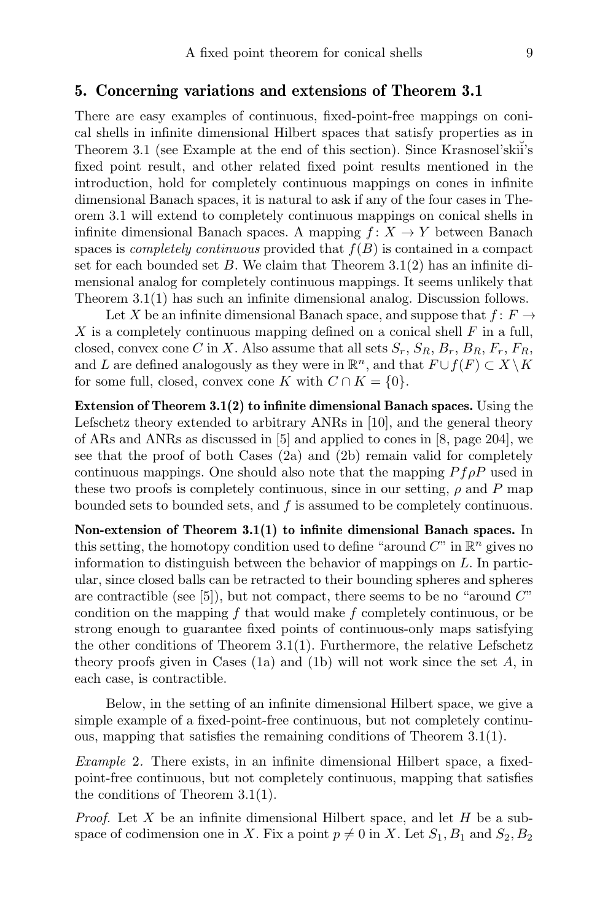### 5. Concerning variations and extensions of Theorem 3.1

There are easy examples of continuous, fixed-point-free mappings on conical shells in infinite dimensional Hilbert spaces that satisfy properties as in Theorem 3.1 (see Example at the end of this section). Since Krasnosel'skii's fixed point result, and other related fixed point results mentioned in the introduction, hold for completely continuous mappings on cones in infinite dimensional Banach spaces, it is natural to ask if any of the four cases in Theorem 3.1 will extend to completely continuous mappings on conical shells in infinite dimensional Banach spaces. A mapping  $f: X \to Y$  between Banach spaces is *completely continuous* provided that  $f(B)$  is contained in a compact set for each bounded set  $B$ . We claim that Theorem 3.1(2) has an infinite dimensional analog for completely continuous mappings. It seems unlikely that Theorem 3.1(1) has such an infinite dimensional analog. Discussion follows.

Let X be an infinite dimensional Banach space, and suppose that  $f: F \to$ X is a completely continuous mapping defined on a conical shell  $F$  in a full, closed, convex cone C in X. Also assume that all sets  $S_r$ ,  $S_R$ ,  $B_r$ ,  $B_R$ ,  $F_r$ ,  $F_R$ , and L are defined analogously as they were in  $\mathbb{R}^n$ , and that  $F \cup f(F) \subset X \setminus K$ for some full, closed, convex cone K with  $C \cap K = \{0\}.$ 

Extension of Theorem 3.1(2) to infinite dimensional Banach spaces. Using the Lefschetz theory extended to arbitrary ANRs in [10], and the general theory of ARs and ANRs as discussed in [5] and applied to cones in [8, page 204], we see that the proof of both Cases  $(2a)$  and  $(2b)$  remain valid for completely continuous mappings. One should also note that the mapping  $P f \rho P$  used in these two proofs is completely continuous, since in our setting,  $\rho$  and P map bounded sets to bounded sets, and  $f$  is assumed to be completely continuous.

Non-extension of Theorem 3.1(1) to infinite dimensional Banach spaces. In this setting, the homotopy condition used to define "around  $C$ " in  $\mathbb{R}^n$  gives no information to distinguish between the behavior of mappings on L. In particular, since closed balls can be retracted to their bounding spheres and spheres are contractible (see  $[5]$ ), but not compact, there seems to be no "around  $C$ " condition on the mapping  $f$  that would make  $f$  completely continuous, or be strong enough to guarantee fixed points of continuous-only maps satisfying the other conditions of Theorem 3.1(1). Furthermore, the relative Lefschetz theory proofs given in Cases  $(1a)$  and  $(1b)$  will not work since the set  $A$ , in each case, is contractible.

Below, in the setting of an infinite dimensional Hilbert space, we give a simple example of a fixed-point-free continuous, but not completely continuous, mapping that satisfies the remaining conditions of Theorem 3.1(1).

Example 2. There exists, in an infinite dimensional Hilbert space, a fixedpoint-free continuous, but not completely continuous, mapping that satisfies the conditions of Theorem 3.1(1).

*Proof.* Let X be an infinite dimensional Hilbert space, and let  $H$  be a subspace of codimension one in X. Fix a point  $p \neq 0$  in X. Let  $S_1, B_1$  and  $S_2, B_2$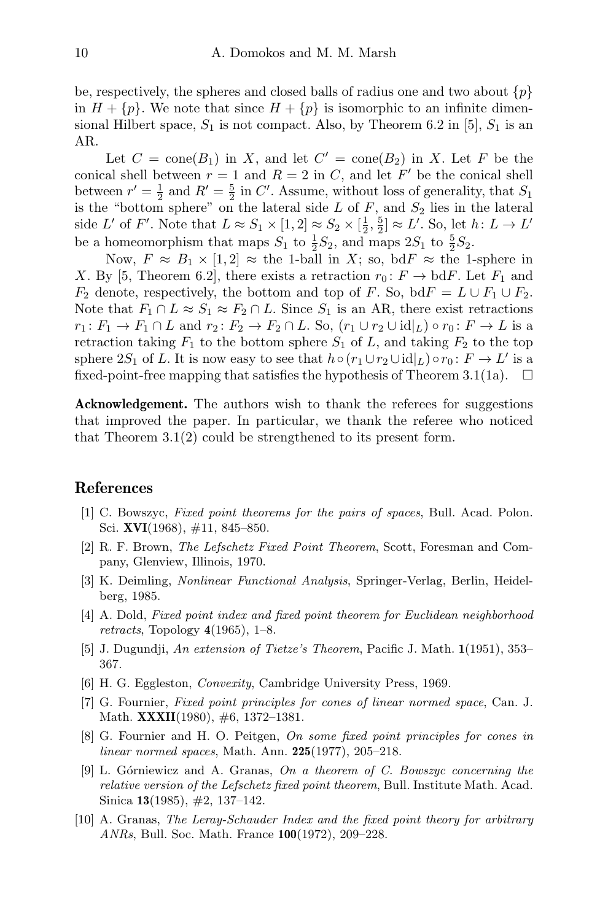be, respectively, the spheres and closed balls of radius one and two about  $\{p\}$ in  $H + \{p\}$ . We note that since  $H + \{p\}$  is isomorphic to an infinite dimensional Hilbert space,  $S_1$  is not compact. Also, by Theorem 6.2 in [5],  $S_1$  is an AR.

Let  $C = \text{cone}(B_1)$  in X, and let  $C' = \text{cone}(B_2)$  in X. Let F be the conical shell between  $r = 1$  and  $R = 2$  in C, and let F' be the conical shell between  $r' = \frac{1}{2}$  and  $R' = \frac{5}{2}$  in C'. Assume, without loss of generality, that  $S_1$ is the "bottom sphere" on the lateral side  $L$  of  $F$ , and  $S_2$  lies in the lateral side L' of F'. Note that  $L \approx S_1 \times [1,2] \approx S_2 \times [\frac{1}{2},\frac{5}{2}] \approx L'$ . So, let  $h: L \to L'$ be a homeomorphism that maps  $S_1$  to  $\frac{1}{2}S_2$ , and maps  $2S_1$  to  $\frac{5}{2}S_2$ .

Now,  $F \approx B_1 \times [1, 2] \approx$  the 1-ball in X; so, bd  $F \approx$  the 1-sphere in X. By [5, Theorem 6.2], there exists a retraction  $r_0: F \to \text{bd} F$ . Let  $F_1$  and  $F_2$  denote, respectively, the bottom and top of F. So, bdF =  $L \cup F_1 \cup F_2$ . Note that  $F_1 \cap L \approx S_1 \approx F_2 \cap L$ . Since  $S_1$  is an AR, there exist retractions  $r_1: F_1 \to F_1 \cap L$  and  $r_2: F_2 \to F_2 \cap L$ . So,  $(r_1 \cup r_2 \cup \text{id}|_L) \circ r_0: F \to L$  is a retraction taking  $F_1$  to the bottom sphere  $S_1$  of L, and taking  $F_2$  to the top sphere 2S<sub>1</sub> of L. It is now easy to see that  $h \circ (r_1 \cup r_2 \cup id|_L) \circ r_0 \colon F \to L'$  is a fixed-point-free mapping that satisfies the hypothesis of Theorem 3.1(1a).  $\Box$ 

Acknowledgement. The authors wish to thank the referees for suggestions that improved the paper. In particular, we thank the referee who noticed that Theorem 3.1(2) could be strengthened to its present form.

### References

- [1] C. Bowszyc, Fixed point theorems for the pairs of spaces, Bull. Acad. Polon. Sci. XVI(1968),  $\#11$ , 845–850.
- [2] R. F. Brown, The Lefschetz Fixed Point Theorem, Scott, Foresman and Company, Glenview, Illinois, 1970.
- [3] K. Deimling, Nonlinear Functional Analysis, Springer-Verlag, Berlin, Heidelberg, 1985.
- [4] A. Dold, Fixed point index and fixed point theorem for Euclidean neighborhood retracts, Topology  $4(1965)$ , 1–8.
- [5] J. Dugundji, An extension of Tietze's Theorem, Pacific J. Math. 1(1951), 353– 367.
- [6] H. G. Eggleston, Convexity, Cambridge University Press, 1969.
- [7] G. Fournier, Fixed point principles for cones of linear normed space, Can. J. Math. XXXII(1980), #6, 1372–1381.
- [8] G. Fournier and H. O. Peitgen, On some fixed point principles for cones in linear normed spaces, Math. Ann. 225(1977), 205–218.
- [9] L. Górniewicz and A. Granas,  $On\ a\ theorem\ of\ C. \ Bowszyc\ concerning\ the$ relative version of the Lefschetz fixed point theorem, Bull. Institute Math. Acad. Sinica 13(1985), #2, 137–142.
- [10] A. Granas, The Leray-Schauder Index and the fixed point theory for arbitrary ANRs, Bull. Soc. Math. France 100(1972), 209–228.